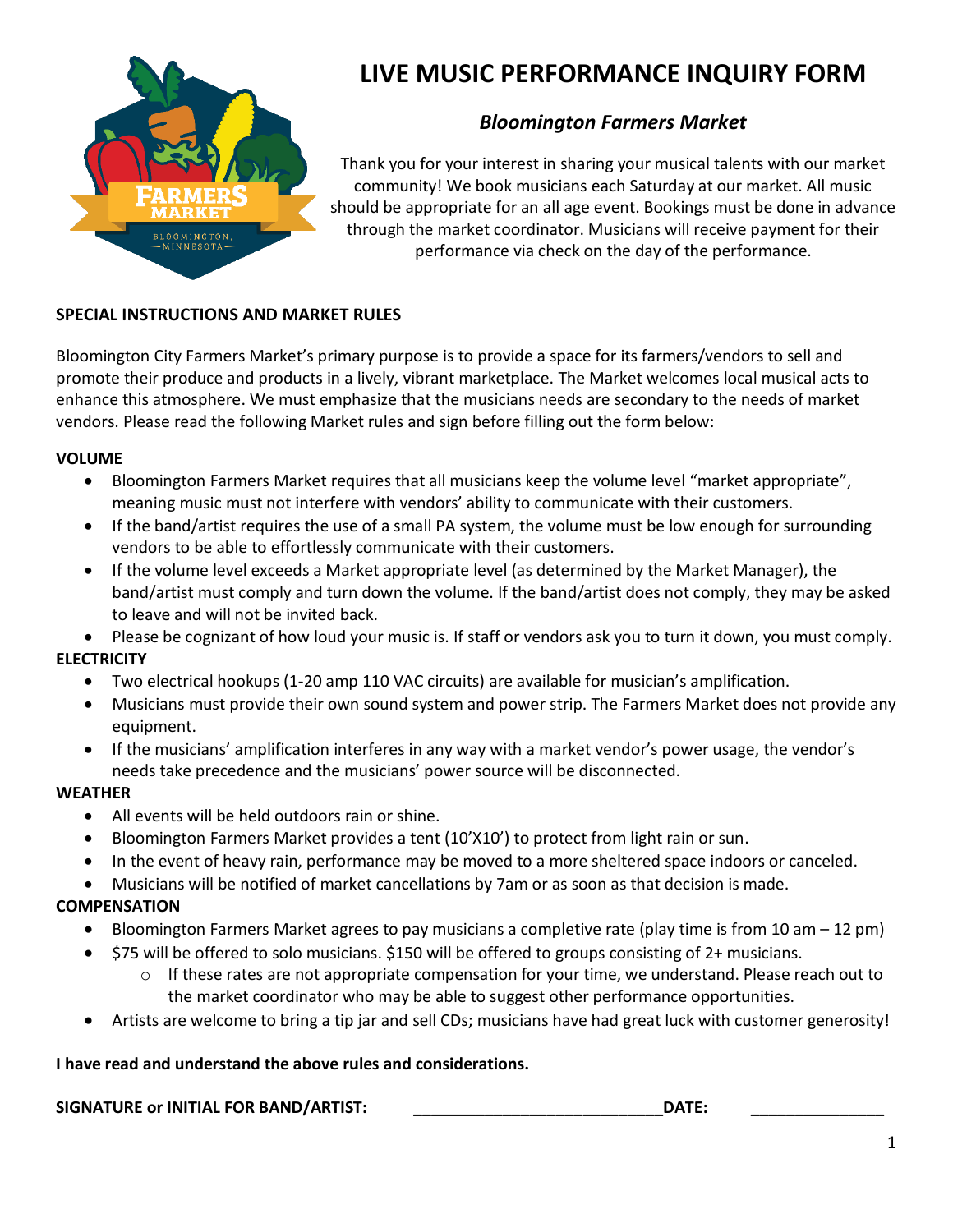

# **LIVE MUSIC PERFORMANCE INQUIRY FORM**

# *Bloomington Farmers Market*

Thank you for your interest in sharing your musical talents with our market community! We book musicians each Saturday at our market. All music should be appropriate for an all age event. Bookings must be done in advance through the market coordinator. Musicians will receive payment for their performance via check on the day of the performance.

#### **SPECIAL INSTRUCTIONS AND MARKET RULES**

Bloomington City Farmers Market's primary purpose is to provide a space for its farmers/vendors to sell and promote their produce and products in a lively, vibrant marketplace. The Market welcomes local musical acts to enhance this atmosphere. We must emphasize that the musicians needs are secondary to the needs of market vendors. Please read the following Market rules and sign before filling out the form below:

#### **VOLUME**

- Bloomington Farmers Market requires that all musicians keep the volume level "market appropriate", meaning music must not interfere with vendors' ability to communicate with their customers.
- If the band/artist requires the use of a small PA system, the volume must be low enough for surrounding vendors to be able to effortlessly communicate with their customers.
- If the volume level exceeds a Market appropriate level (as determined by the Market Manager), the band/artist must comply and turn down the volume. If the band/artist does not comply, they may be asked to leave and will not be invited back.

• Please be cognizant of how loud your music is. If staff or vendors ask you to turn it down, you must comply.

#### **ELECTRICITY**

- Two electrical hookups (1-20 amp 110 VAC circuits) are available for musician's amplification.
- Musicians must provide their own sound system and power strip. The Farmers Market does not provide any equipment.
- If the musicians' amplification interferes in any way with a market vendor's power usage, the vendor's needs take precedence and the musicians' power source will be disconnected.

#### **WEATHER**

- All events will be held outdoors rain or shine.
- Bloomington Farmers Market provides a tent (10'X10') to protect from light rain or sun.
- In the event of heavy rain, performance may be moved to a more sheltered space indoors or canceled.
- Musicians will be notified of market cancellations by 7am or as soon as that decision is made.

## **COMPENSATION**

- Bloomington Farmers Market agrees to pay musicians a completive rate (play time is from 10 am 12 pm)
- \$75 will be offered to solo musicians. \$150 will be offered to groups consisting of 2+ musicians.
	- o If these rates are not appropriate compensation for your time, we understand. Please reach out to the market coordinator who may be able to suggest other performance opportunities.
- Artists are welcome to bring a tip jar and sell CDs; musicians have had great luck with customer generosity!

#### **I have read and understand the above rules and considerations.**

#### **SIGNATURE or INITIAL FOR BAND/ARTIST: \_\_\_\_\_\_\_\_\_\_\_\_\_\_\_\_\_\_\_\_\_\_\_\_\_\_\_\_DATE: \_\_\_\_\_\_\_\_\_\_\_\_\_\_\_**